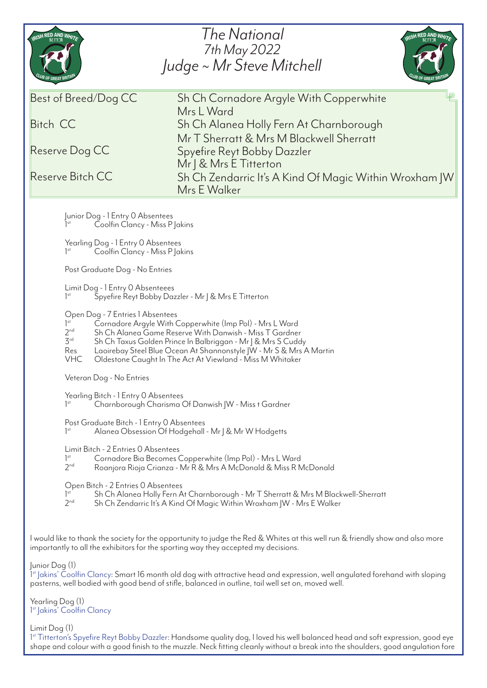| The National<br>RISH RED AND WHITE<br>RISH RED AND WHITE<br>7th May 2022<br>Judge ~ Mr Steve Mitchell                                                                                                                                                |                                                                                                                                                                                                                                                                                                                                                             |
|------------------------------------------------------------------------------------------------------------------------------------------------------------------------------------------------------------------------------------------------------|-------------------------------------------------------------------------------------------------------------------------------------------------------------------------------------------------------------------------------------------------------------------------------------------------------------------------------------------------------------|
| Best of Breed/Dog CC<br><b>Bitch CC</b><br>Reserve Dog CC<br>Reserve Bitch CC                                                                                                                                                                        | Sh Ch Cornadore Argyle With Copperwhite<br>Mrs L Ward<br>Sh Ch Alanea Holly Fern At Charnborough<br>Mr T Sherratt & Mrs M Blackwell Sherratt<br>Spyefire Reyt Bobby Dazzler<br>Mr   & Mrs E Titterton<br>Sh Ch Zendarric It's A Kind Of Magic Within Wroxham JW<br>Mrs E Walker                                                                             |
| 1 <sup>st</sup>                                                                                                                                                                                                                                      | Junior Dog - 1 Entry 0 Absentees<br>Coolfin Clancy - Miss P Jakins                                                                                                                                                                                                                                                                                          |
| 1 <sup>st</sup>                                                                                                                                                                                                                                      | Yearling Dog - 1 Entry 0 Absentees<br>Coolfin Clancy - Miss P   akins                                                                                                                                                                                                                                                                                       |
| Post Graduate Dog - No Entries                                                                                                                                                                                                                       |                                                                                                                                                                                                                                                                                                                                                             |
| $]$ <sup>st</sup>                                                                                                                                                                                                                                    | Limit Dog - 1 Entry 0 Absenteees<br>Spyefire Reyt Bobby Dazzler - Mr   & Mrs E Titterton                                                                                                                                                                                                                                                                    |
| 1 <sup>st</sup><br>2 <sup>nd</sup><br>3 <sup>rd</sup><br>Res<br><b>VHC</b>                                                                                                                                                                           | Open Dog - 7 Entries 1 Absentees<br>Cornadore Argyle With Copperwhite (Imp Pol) - Mrs L Ward<br>Sh Ch Alanea Game Reserve With Danwish - Miss T Gardner<br>Sh Ch Taxus Golden Prince In Balbriggan - Mr J & Mrs S Cuddy<br>Laoirebay Steel Blue Ocean At Shannonstyle JW - Mr S & Mrs A Martin<br>Oldestone Caught In The Act At Viewland - Miss M Whitaker |
|                                                                                                                                                                                                                                                      | Veteran Dog - No Entries                                                                                                                                                                                                                                                                                                                                    |
| 1 <sup>st</sup>                                                                                                                                                                                                                                      | Yearling Bitch - 1 Entry O Absentees<br>Charnborough Charisma Of Danwish   W - Miss t Gardner                                                                                                                                                                                                                                                               |
| 1 <sup>st</sup>                                                                                                                                                                                                                                      | Post Graduate Bitch - 1 Entry 0 Absentees<br>Alanea Obsession Of Hodgehall - Mr   & Mr W Hodgetts                                                                                                                                                                                                                                                           |
| 1 <sup>st</sup><br>2 <sub>nd</sub>                                                                                                                                                                                                                   | Limit Bitch - 2 Entries O Absentees<br>Cornadore Bia Becomes Copperwhite (Imp Pol) - Mrs L Ward<br>Roanjora Rioja Crianza - Mr R & Mrs A McDonald & Miss R McDonald                                                                                                                                                                                         |
| 1 <sup>st</sup><br>2 <sub>nd</sub>                                                                                                                                                                                                                   | Open Bitch - 2 Entries 0 Absentees<br>Sh Ch Alanea Holly Fern At Charnborough - Mr T Sherratt & Mrs M Blackwell-Sherratt<br>Sh Ch Zendarric It's A Kind Of Magic Within Wroxham   W - Mrs E Walker                                                                                                                                                          |
| I would like to thank the society for the opportunity to judge the Red & Whites at this well run & friendly show and also more<br>importantly to all the exhibitors for the sporting way they accepted my decisions.                                 |                                                                                                                                                                                                                                                                                                                                                             |
| Junior Dog (1)<br>1st Jakins' Coolfin Clancy: Smart 16 month old dog with attractive head and expression, well angulated forehand with sloping<br>pasterns, well bodied with good bend of stifle, balanced in outline, tail well set on, moved well. |                                                                                                                                                                                                                                                                                                                                                             |

Yearling Dog (1) 1 st Jakins' Coolfin Clancy

Limit Dog (1)

1st Titterton's Spyefire Reyt Bobby Dazzler: Handsome quality dog, I loved his well balanced head and soft expression, good eye shape and colour with a good finish to the muzzle. Neck fitting cleanly without a break into the shoulders, good angulation fore